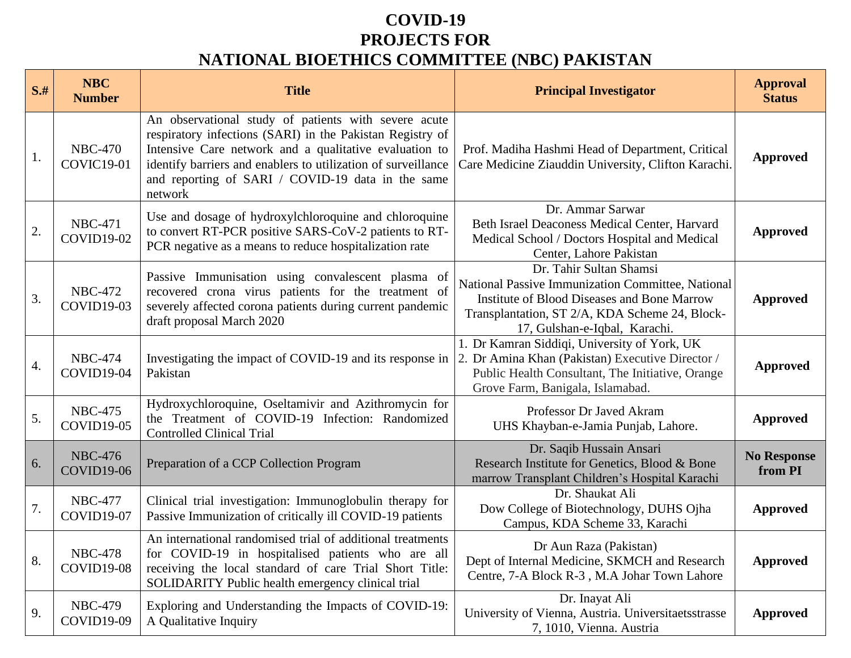## **COVID-19 PROJECTS FOR NATIONAL BIOETHICS COMMITTEE (NBC) PAKISTAN**

| $S+$ | <b>NBC</b><br><b>Number</b>         | <b>Title</b>                                                                                                                                                                                                                                                                                                 | <b>Principal Investigator</b>                                                                                                                                                                                         | <b>Approval</b><br><b>Status</b> |
|------|-------------------------------------|--------------------------------------------------------------------------------------------------------------------------------------------------------------------------------------------------------------------------------------------------------------------------------------------------------------|-----------------------------------------------------------------------------------------------------------------------------------------------------------------------------------------------------------------------|----------------------------------|
| 1.   | <b>NBC-470</b><br><b>COVIC19-01</b> | An observational study of patients with severe acute<br>respiratory infections (SARI) in the Pakistan Registry of<br>Intensive Care network and a qualitative evaluation to<br>identify barriers and enablers to utilization of surveillance<br>and reporting of SARI / COVID-19 data in the same<br>network | Prof. Madiha Hashmi Head of Department, Critical<br>Care Medicine Ziauddin University, Clifton Karachi.                                                                                                               | <b>Approved</b>                  |
| 2.   | <b>NBC-471</b><br><b>COVID19-02</b> | Use and dosage of hydroxylchloroquine and chloroquine<br>to convert RT-PCR positive SARS-CoV-2 patients to RT-<br>PCR negative as a means to reduce hospitalization rate                                                                                                                                     | Dr. Ammar Sarwar<br>Beth Israel Deaconess Medical Center, Harvard<br>Medical School / Doctors Hospital and Medical<br>Center, Lahore Pakistan                                                                         | <b>Approved</b>                  |
| 3.   | <b>NBC-472</b><br>COVID19-03        | Passive Immunisation using convalescent plasma of<br>recovered crona virus patients for the treatment of<br>severely affected corona patients during current pandemic<br>draft proposal March 2020                                                                                                           | Dr. Tahir Sultan Shamsi<br>National Passive Immunization Committee, National<br><b>Institute of Blood Diseases and Bone Marrow</b><br>Transplantation, ST 2/A, KDA Scheme 24, Block-<br>17, Gulshan-e-Iqbal, Karachi. | <b>Approved</b>                  |
| 4.   | <b>NBC-474</b><br>COVID19-04        | Investigating the impact of COVID-19 and its response in<br>Pakistan                                                                                                                                                                                                                                         | 1. Dr Kamran Siddiqi, University of York, UK<br>2. Dr Amina Khan (Pakistan) Executive Director /<br>Public Health Consultant, The Initiative, Orange<br>Grove Farm, Banigala, Islamabad.                              | <b>Approved</b>                  |
| 5.   | <b>NBC-475</b><br><b>COVID19-05</b> | Hydroxychloroquine, Oseltamivir and Azithromycin for<br>the Treatment of COVID-19 Infection: Randomized<br><b>Controlled Clinical Trial</b>                                                                                                                                                                  | Professor Dr Javed Akram<br>UHS Khayban-e-Jamia Punjab, Lahore.                                                                                                                                                       | <b>Approved</b>                  |
| 6.   | <b>NBC-476</b><br>COVID19-06        | Preparation of a CCP Collection Program                                                                                                                                                                                                                                                                      | Dr. Saqib Hussain Ansari<br>Research Institute for Genetics, Blood & Bone<br>marrow Transplant Children's Hospital Karachi                                                                                            | <b>No Response</b><br>from PI    |
| 7.   | <b>NBC-477</b><br><b>COVID19-07</b> | Clinical trial investigation: Immunoglobulin therapy for<br>Passive Immunization of critically ill COVID-19 patients                                                                                                                                                                                         | Dr. Shaukat Ali<br>Dow College of Biotechnology, DUHS Ojha<br>Campus, KDA Scheme 33, Karachi                                                                                                                          | <b>Approved</b>                  |
| 8.   | <b>NBC-478</b><br>COVID19-08        | An international randomised trial of additional treatments<br>for COVID-19 in hospitalised patients who are all<br>receiving the local standard of care Trial Short Title:<br>SOLIDARITY Public health emergency clinical trial                                                                              | Dr Aun Raza (Pakistan)<br>Dept of Internal Medicine, SKMCH and Research<br>Centre, 7-A Block R-3, M.A Johar Town Lahore                                                                                               | <b>Approved</b>                  |
| 9.   | <b>NBC-479</b><br>COVID19-09        | Exploring and Understanding the Impacts of COVID-19:<br>A Qualitative Inquiry                                                                                                                                                                                                                                | Dr. Inayat Ali<br>University of Vienna, Austria. Universitaetsstrasse<br>7, 1010, Vienna. Austria                                                                                                                     | <b>Approved</b>                  |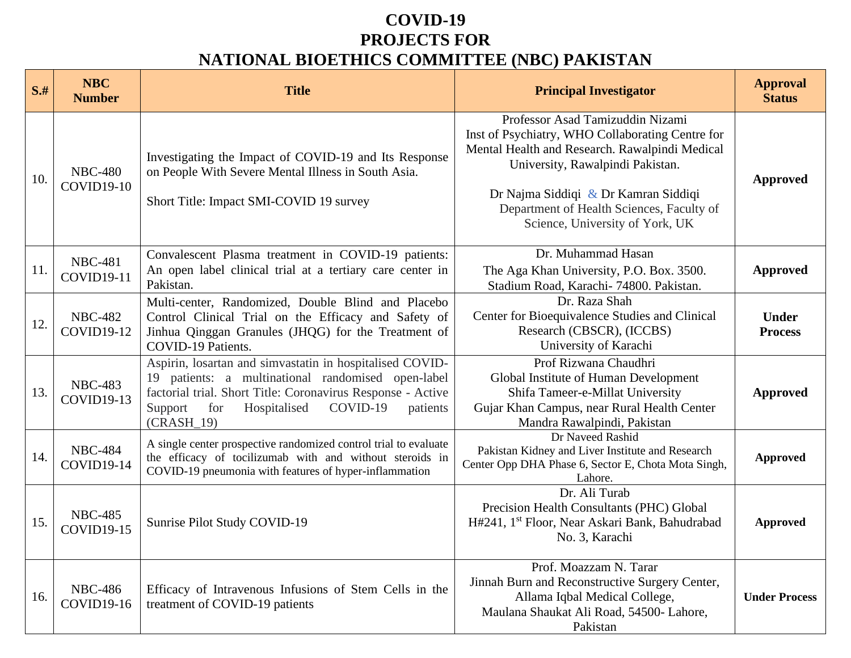## **COVID-19 PROJECTS FOR NATIONAL BIOETHICS COMMITTEE (NBC) PAKISTAN**

| $S+$ | <b>NBC</b><br><b>Number</b>         | <b>Title</b>                                                                                                                                                                                                                                            | <b>Principal Investigator</b>                                                                                                                                                                                                                                                                      | <b>Approval</b><br><b>Status</b> |
|------|-------------------------------------|---------------------------------------------------------------------------------------------------------------------------------------------------------------------------------------------------------------------------------------------------------|----------------------------------------------------------------------------------------------------------------------------------------------------------------------------------------------------------------------------------------------------------------------------------------------------|----------------------------------|
| 10.  | <b>NBC-480</b><br><b>COVID19-10</b> | Investigating the Impact of COVID-19 and Its Response<br>on People With Severe Mental Illness in South Asia.<br>Short Title: Impact SMI-COVID 19 survey                                                                                                 | Professor Asad Tamizuddin Nizami<br>Inst of Psychiatry, WHO Collaborating Centre for<br>Mental Health and Research. Rawalpindi Medical<br>University, Rawalpindi Pakistan.<br>Dr Najma Siddiqi & Dr Kamran Siddiqi<br>Department of Health Sciences, Faculty of<br>Science, University of York, UK | <b>Approved</b>                  |
| 11.  | <b>NBC-481</b><br><b>COVID19-11</b> | Convalescent Plasma treatment in COVID-19 patients:<br>An open label clinical trial at a tertiary care center in<br>Pakistan.                                                                                                                           | Dr. Muhammad Hasan<br>The Aga Khan University, P.O. Box. 3500.<br>Stadium Road, Karachi- 74800. Pakistan.                                                                                                                                                                                          | <b>Approved</b>                  |
| 12.  | <b>NBC-482</b><br><b>COVID19-12</b> | Multi-center, Randomized, Double Blind and Placebo<br>Control Clinical Trial on the Efficacy and Safety of<br>Jinhua Qinggan Granules (JHQG) for the Treatment of<br>COVID-19 Patients.                                                                 | Dr. Raza Shah<br>Center for Bioequivalence Studies and Clinical<br>Research (CBSCR), (ICCBS)<br>University of Karachi                                                                                                                                                                              | <b>Under</b><br><b>Process</b>   |
| 13.  | <b>NBC-483</b><br><b>COVID19-13</b> | Aspirin, losartan and simvastatin in hospitalised COVID-<br>19 patients: a multinational randomised open-label<br>factorial trial. Short Title: Coronavirus Response - Active<br>for<br>Hospitalised<br>COVID-19<br>Support<br>patients<br>$(CRASH_19)$ | Prof Rizwana Chaudhri<br>Global Institute of Human Development<br>Shifa Tameer-e-Millat University<br>Gujar Khan Campus, near Rural Health Center<br>Mandra Rawalpindi, Pakistan                                                                                                                   | <b>Approved</b>                  |
| 14.  | <b>NBC-484</b><br>COVID19-14        | A single center prospective randomized control trial to evaluate<br>the efficacy of tocilizumab with and without steroids in<br>COVID-19 pneumonia with features of hyper-inflammation                                                                  | Dr Naveed Rashid<br>Pakistan Kidney and Liver Institute and Research<br>Center Opp DHA Phase 6, Sector E, Chota Mota Singh,<br>Lahore.                                                                                                                                                             | <b>Approved</b>                  |
| 15.  | <b>NBC-485</b><br><b>COVID19-15</b> | Sunrise Pilot Study COVID-19                                                                                                                                                                                                                            | Dr. Ali Turab<br>Precision Health Consultants (PHC) Global<br>H#241, 1 <sup>st</sup> Floor, Near Askari Bank, Bahudrabad<br>No. 3, Karachi                                                                                                                                                         | <b>Approved</b>                  |
| 16.  | <b>NBC-486</b><br>COVID19-16        | Efficacy of Intravenous Infusions of Stem Cells in the<br>treatment of COVID-19 patients                                                                                                                                                                | Prof. Moazzam N. Tarar<br>Jinnah Burn and Reconstructive Surgery Center,<br>Allama Iqbal Medical College,<br>Maulana Shaukat Ali Road, 54500- Lahore,<br>Pakistan                                                                                                                                  | <b>Under Process</b>             |